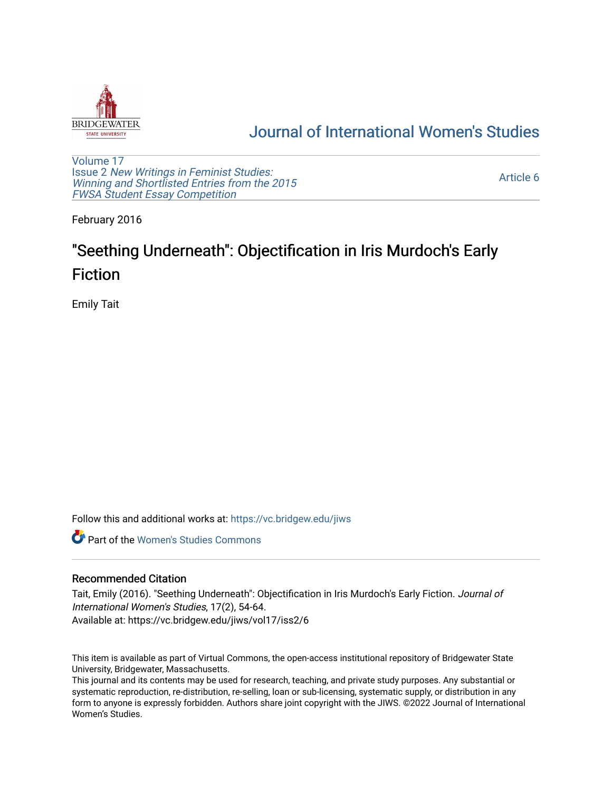

## [Journal of International Women's Studies](https://vc.bridgew.edu/jiws)

[Volume 17](https://vc.bridgew.edu/jiws/vol17) Issue 2 [New Writings in Feminist Studies:](https://vc.bridgew.edu/jiws/vol17/iss2)  [Winning and Shortlisted Entries from the 2015](https://vc.bridgew.edu/jiws/vol17/iss2) [FWSA Student Essay Competition](https://vc.bridgew.edu/jiws/vol17/iss2)

[Article 6](https://vc.bridgew.edu/jiws/vol17/iss2/6) 

February 2016

# "Seething Underneath": Objectification in Iris Murdoch's Early Fiction

Emily Tait

Follow this and additional works at: [https://vc.bridgew.edu/jiws](https://vc.bridgew.edu/jiws?utm_source=vc.bridgew.edu%2Fjiws%2Fvol17%2Fiss2%2F6&utm_medium=PDF&utm_campaign=PDFCoverPages)

**C** Part of the Women's Studies Commons

#### Recommended Citation

Tait, Emily (2016). "Seething Underneath": Objectification in Iris Murdoch's Early Fiction. Journal of International Women's Studies, 17(2), 54-64. Available at: https://vc.bridgew.edu/jiws/vol17/iss2/6

This item is available as part of Virtual Commons, the open-access institutional repository of Bridgewater State University, Bridgewater, Massachusetts.

This journal and its contents may be used for research, teaching, and private study purposes. Any substantial or systematic reproduction, re-distribution, re-selling, loan or sub-licensing, systematic supply, or distribution in any form to anyone is expressly forbidden. Authors share joint copyright with the JIWS. ©2022 Journal of International Women's Studies.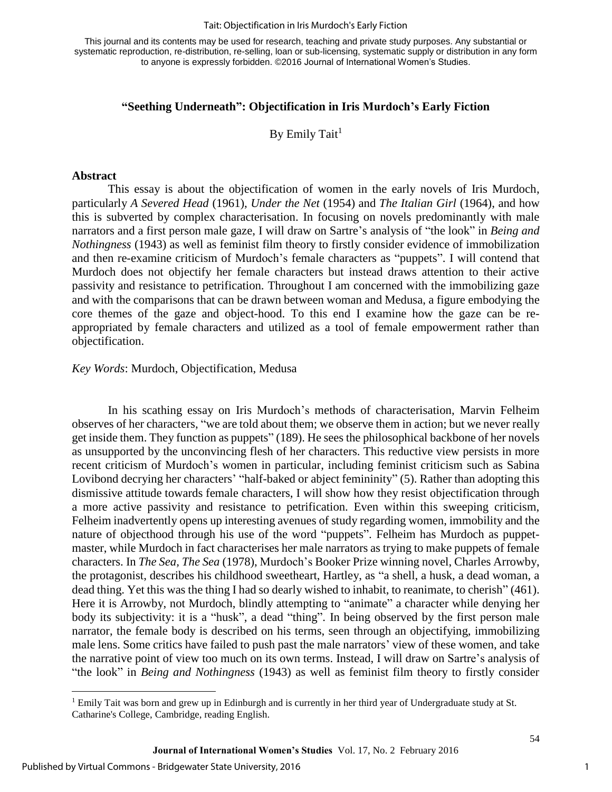#### Tait: Objectification in Iris Murdoch's Early Fiction

This journal and its contents may be used for research, teaching and private study purposes. Any substantial or systematic reproduction, re-distribution, re-selling, loan or sub-licensing, systematic supply or distribution in any form to anyone is expressly forbidden. ©2016 Journal of International Women's Studies.

#### **"Seething Underneath": Objectification in Iris Murdoch's Early Fiction**

By Emily Tait<sup>1</sup>

#### **Abstract**

This essay is about the objectification of women in the early novels of Iris Murdoch, particularly *A Severed Head* (1961), *Under the Net* (1954) and *The Italian Girl* (1964), and how this is subverted by complex characterisation. In focusing on novels predominantly with male narrators and a first person male gaze, I will draw on Sartre's analysis of "the look" in *Being and Nothingness* (1943) as well as feminist film theory to firstly consider evidence of immobilization and then re-examine criticism of Murdoch's female characters as "puppets". I will contend that Murdoch does not objectify her female characters but instead draws attention to their active passivity and resistance to petrification. Throughout I am concerned with the immobilizing gaze and with the comparisons that can be drawn between woman and Medusa, a figure embodying the core themes of the gaze and object-hood. To this end I examine how the gaze can be reappropriated by female characters and utilized as a tool of female empowerment rather than objectification.

#### *Key Words*: Murdoch, Objectification, Medusa

In his scathing essay on Iris Murdoch's methods of characterisation, Marvin Felheim observes of her characters, "we are told about them; we observe them in action; but we never really get inside them. They function as puppets" (189). He sees the philosophical backbone of her novels as unsupported by the unconvincing flesh of her characters. This reductive view persists in more recent criticism of Murdoch's women in particular, including feminist criticism such as Sabina Lovibond decrying her characters' "half-baked or abject femininity" (5). Rather than adopting this dismissive attitude towards female characters, I will show how they resist objectification through a more active passivity and resistance to petrification. Even within this sweeping criticism, Felheim inadvertently opens up interesting avenues of study regarding women, immobility and the nature of objecthood through his use of the word "puppets". Felheim has Murdoch as puppetmaster, while Murdoch in fact characterises her male narrators as trying to make puppets of female characters. In *The Sea, The Sea* (1978), Murdoch's Booker Prize winning novel, Charles Arrowby, the protagonist, describes his childhood sweetheart, Hartley, as "a shell, a husk, a dead woman, a dead thing. Yet this was the thing I had so dearly wished to inhabit, to reanimate, to cherish" (461). Here it is Arrowby, not Murdoch, blindly attempting to "animate" a character while denying her body its subjectivity: it is a "husk", a dead "thing". In being observed by the first person male narrator, the female body is described on his terms, seen through an objectifying, immobilizing male lens. Some critics have failed to push past the male narrators' view of these women, and take the narrative point of view too much on its own terms. Instead, I will draw on Sartre's analysis of "the look" in *Being and Nothingness* (1943) as well as feminist film theory to firstly consider

 $\overline{\phantom{a}}$ 

<sup>&</sup>lt;sup>1</sup> Emily Tait was born and grew up in Edinburgh and is currently in her third year of Undergraduate study at St. Catharine's College, Cambridge, reading English.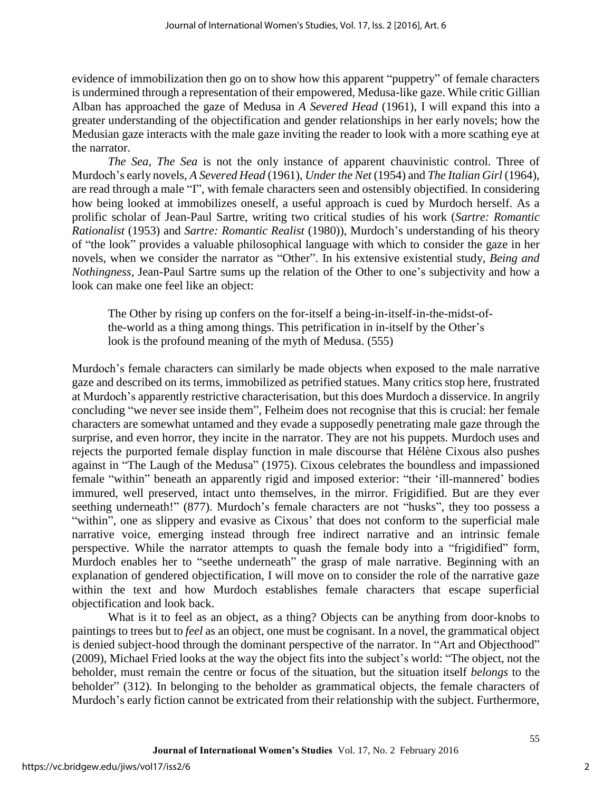evidence of immobilization then go on to show how this apparent "puppetry" of female characters is undermined through a representation of their empowered, Medusa-like gaze. While critic Gillian Alban has approached the gaze of Medusa in *A Severed Head* (1961), I will expand this into a greater understanding of the objectification and gender relationships in her early novels; how the Medusian gaze interacts with the male gaze inviting the reader to look with a more scathing eye at the narrator.

*The Sea, The Sea* is not the only instance of apparent chauvinistic control. Three of Murdoch's early novels, *A Severed Head* (1961), *Under the Net* (1954) and *The Italian Girl* (1964), are read through a male "I", with female characters seen and ostensibly objectified. In considering how being looked at immobilizes oneself, a useful approach is cued by Murdoch herself. As a prolific scholar of Jean-Paul Sartre, writing two critical studies of his work (*Sartre: Romantic Rationalist* (1953) and *Sartre: Romantic Realist* (1980)), Murdoch's understanding of his theory of "the look" provides a valuable philosophical language with which to consider the gaze in her novels, when we consider the narrator as "Other". In his extensive existential study, *Being and Nothingness*, Jean-Paul Sartre sums up the relation of the Other to one's subjectivity and how a look can make one feel like an object:

The Other by rising up confers on the for-itself a being-in-itself-in-the-midst-ofthe-world as a thing among things. This petrification in in-itself by the Other's look is the profound meaning of the myth of Medusa. (555)

Murdoch's female characters can similarly be made objects when exposed to the male narrative gaze and described on its terms, immobilized as petrified statues. Many critics stop here, frustrated at Murdoch's apparently restrictive characterisation, but this does Murdoch a disservice. In angrily concluding "we never see inside them", Felheim does not recognise that this is crucial: her female characters are somewhat untamed and they evade a supposedly penetrating male gaze through the surprise, and even horror, they incite in the narrator. They are not his puppets. Murdoch uses and rejects the purported female display function in male discourse that Hélène Cixous also pushes against in "The Laugh of the Medusa" (1975). Cixous celebrates the boundless and impassioned female "within" beneath an apparently rigid and imposed exterior: "their 'ill-mannered' bodies immured, well preserved, intact unto themselves, in the mirror. Frigidified. But are they ever seething underneath!" (877). Murdoch's female characters are not "husks", they too possess a "within", one as slippery and evasive as Cixous' that does not conform to the superficial male narrative voice, emerging instead through free indirect narrative and an intrinsic female perspective. While the narrator attempts to quash the female body into a "frigidified" form, Murdoch enables her to "seethe underneath" the grasp of male narrative. Beginning with an explanation of gendered objectification, I will move on to consider the role of the narrative gaze within the text and how Murdoch establishes female characters that escape superficial objectification and look back.

What is it to feel as an object, as a thing? Objects can be anything from door-knobs to paintings to trees but to *feel* as an object, one must be cognisant. In a novel, the grammatical object is denied subject-hood through the dominant perspective of the narrator. In "Art and Objecthood" (2009), Michael Fried looks at the way the object fits into the subject's world: "The object, not the beholder, must remain the centre or focus of the situation, but the situation itself *belongs* to the beholder" (312). In belonging to the beholder as grammatical objects, the female characters of Murdoch's early fiction cannot be extricated from their relationship with the subject. Furthermore,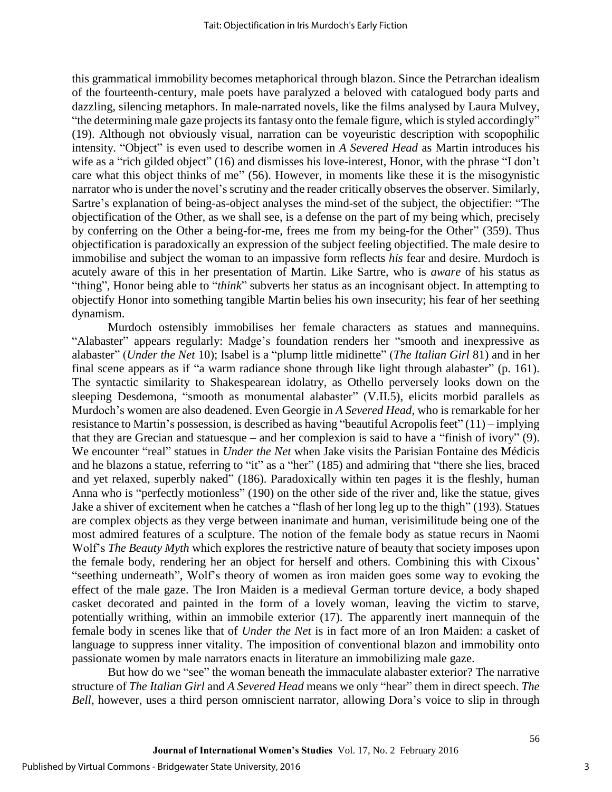this grammatical immobility becomes metaphorical through blazon. Since the Petrarchan idealism of the fourteenth-century, male poets have paralyzed a beloved with catalogued body parts and dazzling, silencing metaphors. In male-narrated novels, like the films analysed by Laura Mulvey, "the determining male gaze projects its fantasy onto the female figure, which is styled accordingly" (19). Although not obviously visual, narration can be voyeuristic description with scopophilic intensity. "Object" is even used to describe women in *A Severed Head* as Martin introduces his wife as a "rich gilded object" (16) and dismisses his love-interest, Honor, with the phrase "I don't care what this object thinks of me" (56). However, in moments like these it is the misogynistic narrator who is under the novel's scrutiny and the reader critically observes the observer. Similarly, Sartre's explanation of being-as-object analyses the mind-set of the subject, the objectifier: "The objectification of the Other, as we shall see, is a defense on the part of my being which, precisely by conferring on the Other a being-for-me, frees me from my being-for the Other" (359). Thus objectification is paradoxically an expression of the subject feeling objectified. The male desire to immobilise and subject the woman to an impassive form reflects *his* fear and desire. Murdoch is acutely aware of this in her presentation of Martin. Like Sartre, who is *aware* of his status as "thing", Honor being able to "*think*" subverts her status as an incognisant object. In attempting to objectify Honor into something tangible Martin belies his own insecurity; his fear of her seething dynamism.

Murdoch ostensibly immobilises her female characters as statues and mannequins. "Alabaster" appears regularly: Madge's foundation renders her "smooth and inexpressive as alabaster" (*Under the Net* 10); Isabel is a "plump little midinette" (*The Italian Girl* 81) and in her final scene appears as if "a warm radiance shone through like light through alabaster" (p. 161). The syntactic similarity to Shakespearean idolatry, as Othello perversely looks down on the sleeping Desdemona, "smooth as monumental alabaster" (V.II.5), elicits morbid parallels as Murdoch's women are also deadened. Even Georgie in *A Severed Head*, who is remarkable for her resistance to Martin's possession, is described as having "beautiful Acropolis feet" (11) – implying that they are Grecian and statuesque – and her complexion is said to have a "finish of ivory" (9). We encounter "real" statues in *Under the Net* when Jake visits the Parisian Fontaine des Médicis and he blazons a statue, referring to "it" as a "her" (185) and admiring that "there she lies, braced and yet relaxed, superbly naked" (186). Paradoxically within ten pages it is the fleshly, human Anna who is "perfectly motionless" (190) on the other side of the river and, like the statue, gives Jake a shiver of excitement when he catches a "flash of her long leg up to the thigh" (193). Statues are complex objects as they verge between inanimate and human, verisimilitude being one of the most admired features of a sculpture. The notion of the female body as statue recurs in Naomi Wolf's *The Beauty Myth* which explores the restrictive nature of beauty that society imposes upon the female body, rendering her an object for herself and others. Combining this with Cixous' "seething underneath", Wolf's theory of women as iron maiden goes some way to evoking the effect of the male gaze. The Iron Maiden is a medieval German torture device, a body shaped casket decorated and painted in the form of a lovely woman, leaving the victim to starve, potentially writhing, within an immobile exterior (17). The apparently inert mannequin of the female body in scenes like that of *Under the Net* is in fact more of an Iron Maiden: a casket of language to suppress inner vitality. The imposition of conventional blazon and immobility onto passionate women by male narrators enacts in literature an immobilizing male gaze.

But how do we "see" the woman beneath the immaculate alabaster exterior? The narrative structure of *The Italian Girl* and *A Severed Head* means we only "hear" them in direct speech. *The Bell*, however, uses a third person omniscient narrator, allowing Dora's voice to slip in through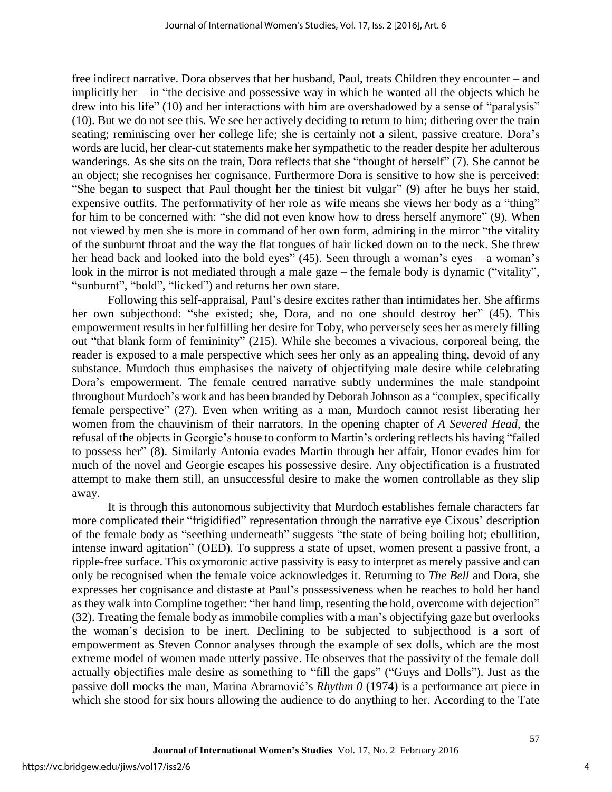free indirect narrative. Dora observes that her husband, Paul, treats Children they encounter – and implicitly her – in "the decisive and possessive way in which he wanted all the objects which he drew into his life" (10) and her interactions with him are overshadowed by a sense of "paralysis" (10). But we do not see this. We see her actively deciding to return to him; dithering over the train seating; reminiscing over her college life; she is certainly not a silent, passive creature. Dora's words are lucid, her clear-cut statements make her sympathetic to the reader despite her adulterous wanderings. As she sits on the train, Dora reflects that she "thought of herself" (7). She cannot be an object; she recognises her cognisance. Furthermore Dora is sensitive to how she is perceived: "She began to suspect that Paul thought her the tiniest bit vulgar" (9) after he buys her staid, expensive outfits. The performativity of her role as wife means she views her body as a "thing" for him to be concerned with: "she did not even know how to dress herself anymore" (9). When not viewed by men she is more in command of her own form, admiring in the mirror "the vitality of the sunburnt throat and the way the flat tongues of hair licked down on to the neck. She threw her head back and looked into the bold eyes" (45). Seen through a woman's eyes – a woman's look in the mirror is not mediated through a male gaze – the female body is dynamic ("vitality", "sunburnt", "bold", "licked") and returns her own stare.

Following this self-appraisal, Paul's desire excites rather than intimidates her. She affirms her own subjecthood: "she existed; she, Dora, and no one should destroy her" (45). This empowerment results in her fulfilling her desire for Toby, who perversely sees her as merely filling out "that blank form of femininity" (215). While she becomes a vivacious, corporeal being, the reader is exposed to a male perspective which sees her only as an appealing thing, devoid of any substance. Murdoch thus emphasises the naivety of objectifying male desire while celebrating Dora's empowerment. The female centred narrative subtly undermines the male standpoint throughout Murdoch's work and has been branded by Deborah Johnson as a "complex, specifically female perspective" (27). Even when writing as a man, Murdoch cannot resist liberating her women from the chauvinism of their narrators. In the opening chapter of *A Severed Head*, the refusal of the objects in Georgie's house to conform to Martin's ordering reflects his having "failed to possess her" (8). Similarly Antonia evades Martin through her affair, Honor evades him for much of the novel and Georgie escapes his possessive desire. Any objectification is a frustrated attempt to make them still, an unsuccessful desire to make the women controllable as they slip away.

It is through this autonomous subjectivity that Murdoch establishes female characters far more complicated their "frigidified" representation through the narrative eye Cixous' description of the female body as "seething underneath" suggests "the state of being boiling hot; ebullition, intense inward agitation" (OED). To suppress a state of upset, women present a passive front, a ripple-free surface. This oxymoronic active passivity is easy to interpret as merely passive and can only be recognised when the female voice acknowledges it. Returning to *The Bell* and Dora, she expresses her cognisance and distaste at Paul's possessiveness when he reaches to hold her hand as they walk into Compline together: "her hand limp, resenting the hold, overcome with dejection" (32). Treating the female body as immobile complies with a man's objectifying gaze but overlooks the woman's decision to be inert. Declining to be subjected to subjecthood is a sort of empowerment as Steven Connor analyses through the example of sex dolls, which are the most extreme model of women made utterly passive. He observes that the passivity of the female doll actually objectifies male desire as something to "fill the gaps" ("Guys and Dolls"). Just as the passive doll mocks the man, Marina Abramović's *Rhythm 0* (1974) is a performance art piece in which she stood for six hours allowing the audience to do anything to her. According to the Tate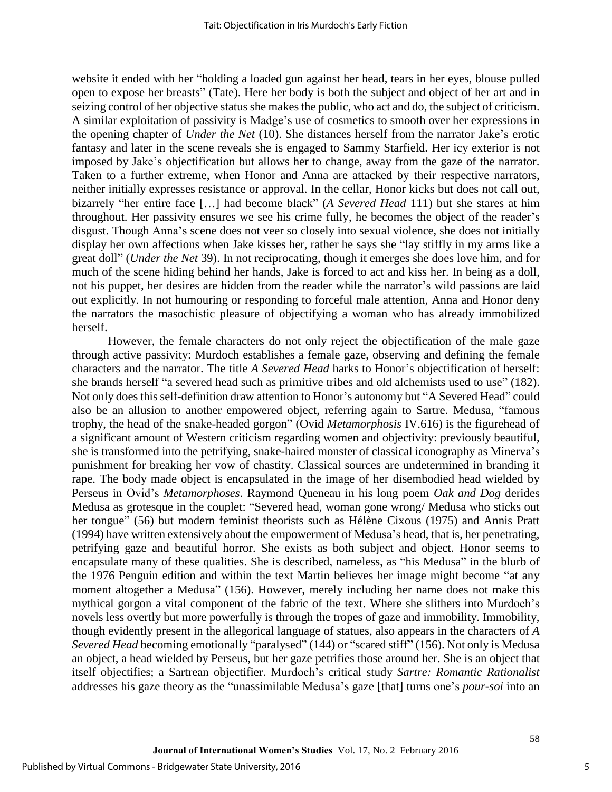website it ended with her "holding a loaded gun against her head, tears in her eyes, blouse pulled open to expose her breasts" (Tate). Here her body is both the subject and object of her art and in seizing control of her objective status she makes the public, who act and do, the subject of criticism. A similar exploitation of passivity is Madge's use of cosmetics to smooth over her expressions in the opening chapter of *Under the Net* (10). She distances herself from the narrator Jake's erotic fantasy and later in the scene reveals she is engaged to Sammy Starfield. Her icy exterior is not imposed by Jake's objectification but allows her to change, away from the gaze of the narrator. Taken to a further extreme, when Honor and Anna are attacked by their respective narrators, neither initially expresses resistance or approval. In the cellar, Honor kicks but does not call out, bizarrely "her entire face […] had become black" (*A Severed Head* 111) but she stares at him throughout. Her passivity ensures we see his crime fully, he becomes the object of the reader's disgust. Though Anna's scene does not veer so closely into sexual violence, she does not initially display her own affections when Jake kisses her, rather he says she "lay stiffly in my arms like a great doll" (*Under the Net* 39). In not reciprocating, though it emerges she does love him, and for much of the scene hiding behind her hands, Jake is forced to act and kiss her. In being as a doll, not his puppet, her desires are hidden from the reader while the narrator's wild passions are laid out explicitly. In not humouring or responding to forceful male attention, Anna and Honor deny the narrators the masochistic pleasure of objectifying a woman who has already immobilized herself.

However, the female characters do not only reject the objectification of the male gaze through active passivity: Murdoch establishes a female gaze, observing and defining the female characters and the narrator. The title *A Severed Head* harks to Honor's objectification of herself: she brands herself "a severed head such as primitive tribes and old alchemists used to use" (182). Not only does this self-definition draw attention to Honor's autonomy but "A Severed Head" could also be an allusion to another empowered object, referring again to Sartre. Medusa, "famous trophy, the head of the snake-headed gorgon" (Ovid *Metamorphosis* IV.616) is the figurehead of a significant amount of Western criticism regarding women and objectivity: previously beautiful, she is transformed into the petrifying, snake-haired monster of classical iconography as Minerva's punishment for breaking her vow of chastity. Classical sources are undetermined in branding it rape. The body made object is encapsulated in the image of her disembodied head wielded by Perseus in Ovid's *Metamorphoses*. Raymond Queneau in his long poem *Oak and Dog* derides Medusa as grotesque in the couplet: "Severed head, woman gone wrong/ Medusa who sticks out her tongue" (56) but modern feminist theorists such as Hélène Cixous (1975) and Annis Pratt (1994) have written extensively about the empowerment of Medusa's head, that is, her penetrating, petrifying gaze and beautiful horror. She exists as both subject and object. Honor seems to encapsulate many of these qualities. She is described, nameless, as "his Medusa" in the blurb of the 1976 Penguin edition and within the text Martin believes her image might become "at any moment altogether a Medusa" (156). However, merely including her name does not make this mythical gorgon a vital component of the fabric of the text. Where she slithers into Murdoch's novels less overtly but more powerfully is through the tropes of gaze and immobility. Immobility, though evidently present in the allegorical language of statues, also appears in the characters of *A Severed Head* becoming emotionally "paralysed" (144) or "scared stiff" (156). Not only is Medusa an object, a head wielded by Perseus, but her gaze petrifies those around her. She is an object that itself objectifies; a Sartrean objectifier. Murdoch's critical study *Sartre: Romantic Rationalist* addresses his gaze theory as the "unassimilable Medusa's gaze [that] turns one's *pour-soi* into an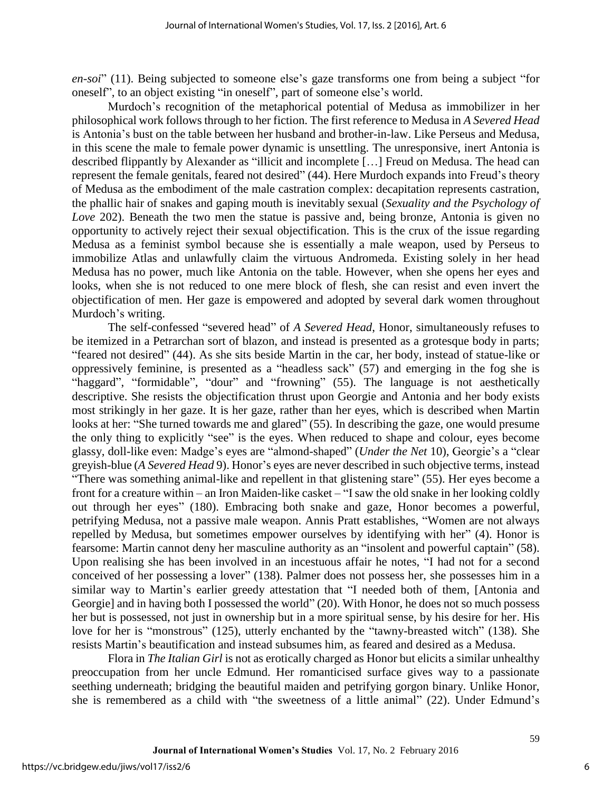*en-soi*" (11). Being subjected to someone else's gaze transforms one from being a subject "for oneself", to an object existing "in oneself", part of someone else's world.

Murdoch's recognition of the metaphorical potential of Medusa as immobilizer in her philosophical work follows through to her fiction. The first reference to Medusa in *A Severed Head*  is Antonia's bust on the table between her husband and brother-in-law. Like Perseus and Medusa, in this scene the male to female power dynamic is unsettling. The unresponsive, inert Antonia is described flippantly by Alexander as "illicit and incomplete […] Freud on Medusa. The head can represent the female genitals, feared not desired" (44). Here Murdoch expands into Freud's theory of Medusa as the embodiment of the male castration complex: decapitation represents castration, the phallic hair of snakes and gaping mouth is inevitably sexual (*Sexuality and the Psychology of Love* 202). Beneath the two men the statue is passive and, being bronze, Antonia is given no opportunity to actively reject their sexual objectification. This is the crux of the issue regarding Medusa as a feminist symbol because she is essentially a male weapon, used by Perseus to immobilize Atlas and unlawfully claim the virtuous Andromeda. Existing solely in her head Medusa has no power, much like Antonia on the table. However, when she opens her eyes and looks, when she is not reduced to one mere block of flesh, she can resist and even invert the objectification of men. Her gaze is empowered and adopted by several dark women throughout Murdoch's writing.

The self-confessed "severed head" of *A Severed Head*, Honor, simultaneously refuses to be itemized in a Petrarchan sort of blazon, and instead is presented as a grotesque body in parts; "feared not desired" (44). As she sits beside Martin in the car, her body, instead of statue-like or oppressively feminine, is presented as a "headless sack" (57) and emerging in the fog she is "haggard", "formidable", "dour" and "frowning" (55). The language is not aesthetically descriptive. She resists the objectification thrust upon Georgie and Antonia and her body exists most strikingly in her gaze. It is her gaze, rather than her eyes, which is described when Martin looks at her: "She turned towards me and glared" (55). In describing the gaze, one would presume the only thing to explicitly "see" is the eyes. When reduced to shape and colour, eyes become glassy, doll-like even: Madge's eyes are "almond-shaped" (*Under the Net* 10), Georgie's a "clear greyish-blue (*A Severed Head* 9). Honor's eyes are never described in such objective terms, instead "There was something animal-like and repellent in that glistening stare" (55). Her eyes become a front for a creature within – an Iron Maiden-like casket – "I saw the old snake in her looking coldly out through her eyes" (180). Embracing both snake and gaze, Honor becomes a powerful, petrifying Medusa, not a passive male weapon. Annis Pratt establishes, "Women are not always repelled by Medusa, but sometimes empower ourselves by identifying with her" (4). Honor is fearsome: Martin cannot deny her masculine authority as an "insolent and powerful captain" (58). Upon realising she has been involved in an incestuous affair he notes, "I had not for a second conceived of her possessing a lover" (138). Palmer does not possess her, she possesses him in a similar way to Martin's earlier greedy attestation that "I needed both of them, [Antonia and Georgie] and in having both I possessed the world" (20). With Honor, he does not so much possess her but is possessed, not just in ownership but in a more spiritual sense, by his desire for her. His love for her is "monstrous" (125), utterly enchanted by the "tawny-breasted witch" (138). She resists Martin's beautification and instead subsumes him, as feared and desired as a Medusa.

Flora in *The Italian Girl* is not as erotically charged as Honor but elicits a similar unhealthy preoccupation from her uncle Edmund. Her romanticised surface gives way to a passionate seething underneath; bridging the beautiful maiden and petrifying gorgon binary. Unlike Honor, she is remembered as a child with "the sweetness of a little animal" (22). Under Edmund's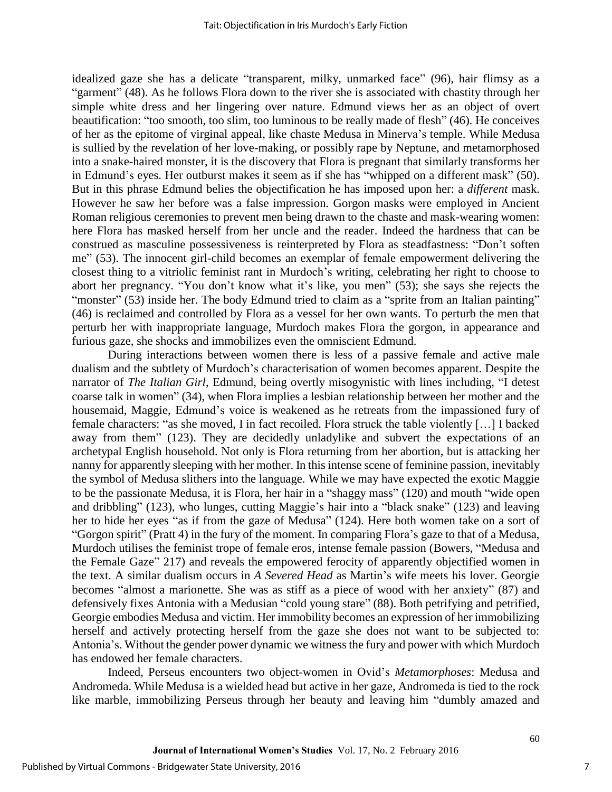idealized gaze she has a delicate "transparent, milky, unmarked face" (96), hair flimsy as a "garment" (48). As he follows Flora down to the river she is associated with chastity through her simple white dress and her lingering over nature. Edmund views her as an object of overt beautification: "too smooth, too slim, too luminous to be really made of flesh" (46). He conceives of her as the epitome of virginal appeal, like chaste Medusa in Minerva's temple. While Medusa is sullied by the revelation of her love-making, or possibly rape by Neptune, and metamorphosed into a snake-haired monster, it is the discovery that Flora is pregnant that similarly transforms her in Edmund's eyes. Her outburst makes it seem as if she has "whipped on a different mask" (50). But in this phrase Edmund belies the objectification he has imposed upon her: a *different* mask. However he saw her before was a false impression. Gorgon masks were employed in Ancient Roman religious ceremonies to prevent men being drawn to the chaste and mask-wearing women: here Flora has masked herself from her uncle and the reader. Indeed the hardness that can be construed as masculine possessiveness is reinterpreted by Flora as steadfastness: "Don't soften me" (53). The innocent girl-child becomes an exemplar of female empowerment delivering the closest thing to a vitriolic feminist rant in Murdoch's writing, celebrating her right to choose to abort her pregnancy. "You don't know what it's like, you men" (53); she says she rejects the "monster" (53) inside her. The body Edmund tried to claim as a "sprite from an Italian painting" (46) is reclaimed and controlled by Flora as a vessel for her own wants. To perturb the men that perturb her with inappropriate language, Murdoch makes Flora the gorgon, in appearance and furious gaze, she shocks and immobilizes even the omniscient Edmund.

During interactions between women there is less of a passive female and active male dualism and the subtlety of Murdoch's characterisation of women becomes apparent. Despite the narrator of *The Italian Girl*, Edmund, being overtly misogynistic with lines including, "I detest coarse talk in women" (34), when Flora implies a lesbian relationship between her mother and the housemaid, Maggie, Edmund's voice is weakened as he retreats from the impassioned fury of female characters: "as she moved, I in fact recoiled. Flora struck the table violently […] I backed away from them" (123). They are decidedly unladylike and subvert the expectations of an archetypal English household. Not only is Flora returning from her abortion, but is attacking her nanny for apparently sleeping with her mother. In this intense scene of feminine passion, inevitably the symbol of Medusa slithers into the language. While we may have expected the exotic Maggie to be the passionate Medusa, it is Flora, her hair in a "shaggy mass" (120) and mouth "wide open and dribbling" (123), who lunges, cutting Maggie's hair into a "black snake" (123) and leaving her to hide her eyes "as if from the gaze of Medusa" (124). Here both women take on a sort of "Gorgon spirit" (Pratt 4) in the fury of the moment. In comparing Flora's gaze to that of a Medusa, Murdoch utilises the feminist trope of female eros, intense female passion (Bowers, "Medusa and the Female Gaze" 217) and reveals the empowered ferocity of apparently objectified women in the text. A similar dualism occurs in *A Severed Head* as Martin's wife meets his lover. Georgie becomes "almost a marionette. She was as stiff as a piece of wood with her anxiety" (87) and defensively fixes Antonia with a Medusian "cold young stare" (88). Both petrifying and petrified, Georgie embodies Medusa and victim. Her immobility becomes an expression of her immobilizing herself and actively protecting herself from the gaze she does not want to be subjected to: Antonia's. Without the gender power dynamic we witness the fury and power with which Murdoch has endowed her female characters.

Indeed, Perseus encounters two object-women in Ovid's *Metamorphoses*: Medusa and Andromeda. While Medusa is a wielded head but active in her gaze, Andromeda is tied to the rock like marble, immobilizing Perseus through her beauty and leaving him "dumbly amazed and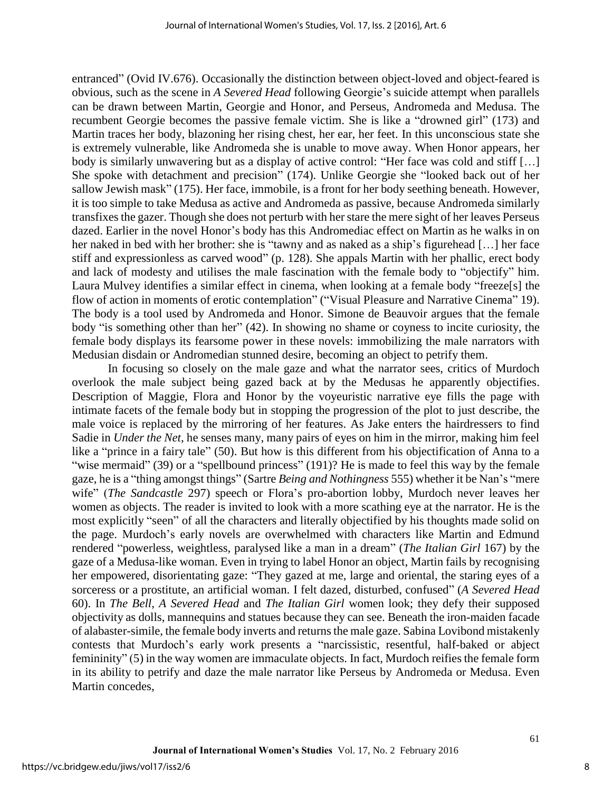entranced" (Ovid IV.676). Occasionally the distinction between object-loved and object-feared is obvious, such as the scene in *A Severed Head* following Georgie's suicide attempt when parallels can be drawn between Martin, Georgie and Honor, and Perseus, Andromeda and Medusa. The recumbent Georgie becomes the passive female victim. She is like a "drowned girl" (173) and Martin traces her body, blazoning her rising chest, her ear, her feet. In this unconscious state she is extremely vulnerable, like Andromeda she is unable to move away. When Honor appears, her body is similarly unwavering but as a display of active control: "Her face was cold and stiff […] She spoke with detachment and precision" (174). Unlike Georgie she "looked back out of her sallow Jewish mask" (175). Her face, immobile, is a front for her body seething beneath. However, it is too simple to take Medusa as active and Andromeda as passive, because Andromeda similarly transfixes the gazer. Though she does not perturb with her stare the mere sight of her leaves Perseus dazed. Earlier in the novel Honor's body has this Andromediac effect on Martin as he walks in on her naked in bed with her brother: she is "tawny and as naked as a ship's figurehead […] her face stiff and expressionless as carved wood" (p. 128). She appals Martin with her phallic, erect body and lack of modesty and utilises the male fascination with the female body to "objectify" him. Laura Mulvey identifies a similar effect in cinema, when looking at a female body "freeze[s] the flow of action in moments of erotic contemplation" ("Visual Pleasure and Narrative Cinema" 19). The body is a tool used by Andromeda and Honor. Simone de Beauvoir argues that the female body "is something other than her" (42). In showing no shame or coyness to incite curiosity, the female body displays its fearsome power in these novels: immobilizing the male narrators with Medusian disdain or Andromedian stunned desire, becoming an object to petrify them.

In focusing so closely on the male gaze and what the narrator sees, critics of Murdoch overlook the male subject being gazed back at by the Medusas he apparently objectifies. Description of Maggie, Flora and Honor by the voyeuristic narrative eye fills the page with intimate facets of the female body but in stopping the progression of the plot to just describe, the male voice is replaced by the mirroring of her features. As Jake enters the hairdressers to find Sadie in *Under the Net*, he senses many, many pairs of eyes on him in the mirror, making him feel like a "prince in a fairy tale" (50). But how is this different from his objectification of Anna to a "wise mermaid" (39) or a "spellbound princess" (191)? He is made to feel this way by the female gaze, he is a "thing amongst things" (Sartre *Being and Nothingness* 555) whether it be Nan's "mere wife" (*The Sandcastle* 297) speech or Flora's pro-abortion lobby, Murdoch never leaves her women as objects. The reader is invited to look with a more scathing eye at the narrator. He is the most explicitly "seen" of all the characters and literally objectified by his thoughts made solid on the page. Murdoch's early novels are overwhelmed with characters like Martin and Edmund rendered "powerless, weightless, paralysed like a man in a dream" (*The Italian Girl* 167) by the gaze of a Medusa-like woman. Even in trying to label Honor an object, Martin fails by recognising her empowered, disorientating gaze: "They gazed at me, large and oriental, the staring eyes of a sorceress or a prostitute, an artificial woman. I felt dazed, disturbed, confused" (*A Severed Head* 60). In *The Bell*, *A Severed Head* and *The Italian Girl* women look; they defy their supposed objectivity as dolls, mannequins and statues because they can see. Beneath the iron-maiden facade of alabaster-simile, the female body inverts and returns the male gaze. Sabina Lovibond mistakenly contests that Murdoch's early work presents a "narcissistic, resentful, half-baked or abject femininity" (5) in the way women are immaculate objects. In fact, Murdoch reifies the female form in its ability to petrify and daze the male narrator like Perseus by Andromeda or Medusa. Even Martin concedes,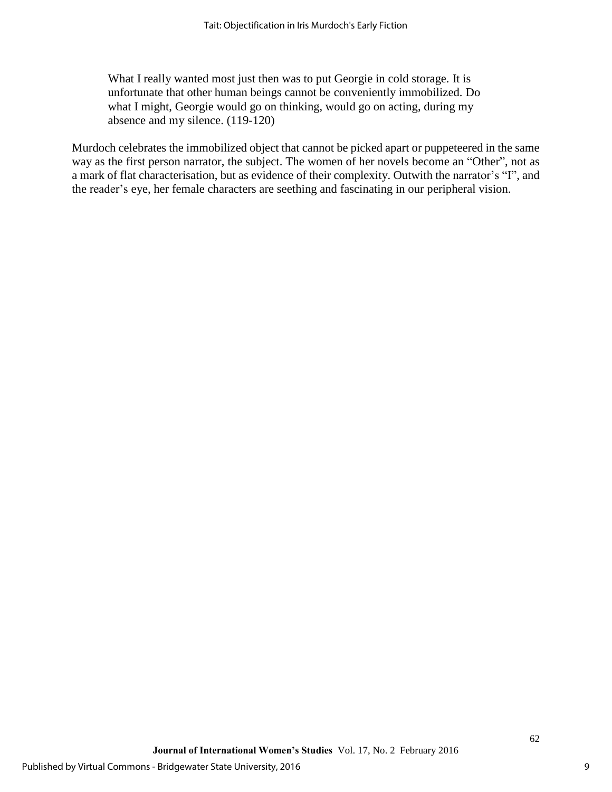What I really wanted most just then was to put Georgie in cold storage. It is unfortunate that other human beings cannot be conveniently immobilized. Do what I might, Georgie would go on thinking, would go on acting, during my absence and my silence. (119-120)

Murdoch celebrates the immobilized object that cannot be picked apart or puppeteered in the same way as the first person narrator, the subject. The women of her novels become an "Other", not as a mark of flat characterisation, but as evidence of their complexity. Outwith the narrator's "I", and the reader's eye, her female characters are seething and fascinating in our peripheral vision.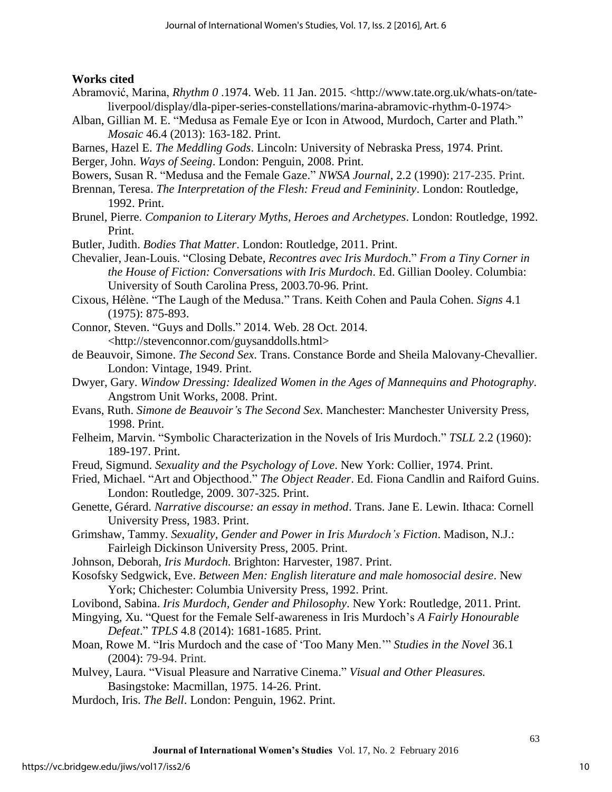### **Works cited**

- Abramović, Marina, *Rhythm 0* .1974. Web. 11 Jan. 2015. <http://www.tate.org.uk/whats-on/tateliverpool/display/dla-piper-series-constellations/marina-abramovic-rhythm-0-1974>
- Alban, Gillian M. E. "Medusa as Female Eye or Icon in Atwood, Murdoch, Carter and Plath." *Mosaic* 46.4 (2013): 163-182. Print.
- Barnes, Hazel E. *The Meddling Gods*. Lincoln: University of Nebraska Press, 1974. Print.

Berger, John. *Ways of Seeing*. London: Penguin, 2008. Print.

Bowers, Susan R. "Medusa and the Female Gaze." *NWSA Journal*, 2.2 (1990): 217-235. Print.

Brennan, Teresa. *The Interpretation of the Flesh: Freud and Femininity*. London: Routledge, 1992. Print.

Brunel, Pierre. *Companion to Literary Myths, Heroes and Archetypes*. London: Routledge, 1992. Print.

Butler, Judith. *Bodies That Matter*. London: Routledge, 2011. Print.

- Chevalier, Jean-Louis. "Closing Debate, *Recontres avec Iris Murdoch*." *From a Tiny Corner in the House of Fiction: Conversations with Iris Murdoch*. Ed. Gillian Dooley. Columbia: University of South Carolina Press, 2003.70-96. Print.
- Cixous, Hélène. "The Laugh of the Medusa." Trans. Keith Cohen and Paula Cohen. *Signs* 4.1 (1975): 875-893.
- Connor, Steven. "Guys and Dolls." 2014. Web. 28 Oct. 2014. <http://stevenconnor.com/guysanddolls.html>
- de Beauvoir, Simone. *The Second Sex*. Trans. Constance Borde and Sheila Malovany-Chevallier. London: Vintage, 1949. Print.
- Dwyer, Gary. *Window Dressing: Idealized Women in the Ages of Mannequins and Photography*. Angstrom Unit Works, 2008. Print.
- Evans, Ruth. *Simone de Beauvoir's The Second Sex*. Manchester: Manchester University Press, 1998. Print.
- Felheim, Marvin. "Symbolic Characterization in the Novels of Iris Murdoch." *TSLL* 2.2 (1960): 189-197. Print.
- Freud, Sigmund. *Sexuality and the Psychology of Love*. New York: Collier, 1974. Print.
- Fried, Michael. "Art and Objecthood." *The Object Reader*. Ed. Fiona Candlin and Raiford Guins. London: Routledge, 2009. 307-325. Print.
- Genette, Gérard. *Narrative discourse: an essay in method*. Trans. Jane E. Lewin. Ithaca: Cornell University Press, 1983. Print.
- Grimshaw, Tammy. *Sexuality, Gender and Power in Iris Murdoch's Fiction*. Madison, N.J.: Fairleigh Dickinson University Press, 2005. Print.
- Johnson, Deborah, *Iris Murdoch.* Brighton: Harvester, 1987. Print.
- Kosofsky Sedgwick, Eve. *Between Men: English literature and male homosocial desire*. New York; Chichester: Columbia University Press, 1992. Print.
- Lovibond, Sabina. *Iris Murdoch, Gender and Philosophy*. New York: Routledge, 2011. Print.
- Mingying, Xu. "Quest for the Female Self-awareness in Iris Murdoch's *A Fairly Honourable Defeat*." *TPLS* 4.8 (2014): 1681-1685. Print.

Moan, Rowe M. "Iris Murdoch and the case of 'Too Many Men.'" *Studies in the Novel* 36.1 (2004): 79-94. Print.

- Mulvey, Laura. "Visual Pleasure and Narrative Cinema." *Visual and Other Pleasures.*  Basingstoke: Macmillan, 1975. 14-26. Print.
- Murdoch, Iris. *The Bell*. London: Penguin, 1962. Print.